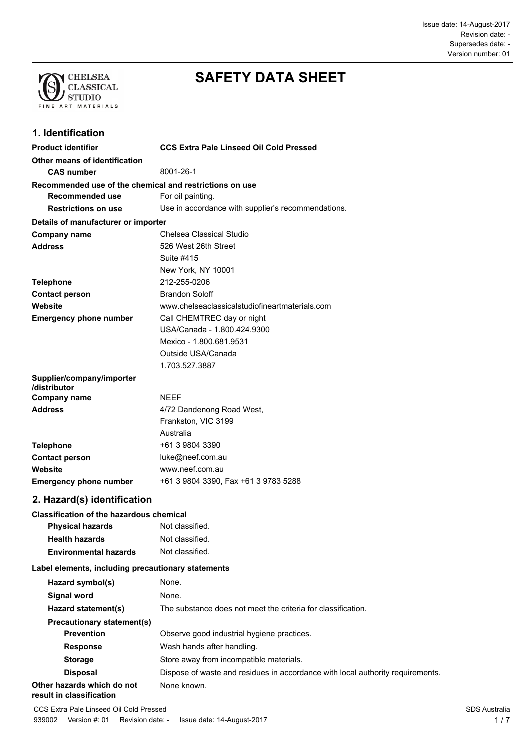Issue date: 14-August-2017 Supersedes date: - Revision date: - Version number: 01



# **SAFETY DATA SHEET**

### **1. Identification**

| <b>Product identifier</b>                               | <b>CCS Extra Pale Linseed Oil Cold Pressed</b>     |
|---------------------------------------------------------|----------------------------------------------------|
| Other means of identification<br><b>CAS number</b>      | 8001-26-1                                          |
| Recommended use of the chemical and restrictions on use |                                                    |
| Recommended use                                         | For oil painting.                                  |
| <b>Restrictions on use</b>                              | Use in accordance with supplier's recommendations. |
| Details of manufacturer or importer                     |                                                    |
| <b>Company name</b>                                     | Chelsea Classical Studio                           |
| <b>Address</b>                                          | 526 West 26th Street                               |
|                                                         | Suite #415                                         |
|                                                         | New York, NY 10001                                 |
| <b>Telephone</b>                                        | 212-255-0206                                       |
| <b>Contact person</b>                                   | <b>Brandon Soloff</b>                              |
| Website                                                 | www.chelseaclassicalstudiofineartmaterials.com     |
| <b>Emergency phone number</b>                           | Call CHEMTREC day or night                         |
|                                                         | USA/Canada - 1.800.424.9300                        |
|                                                         | Mexico - 1.800.681.9531                            |
|                                                         | Outside USA/Canada                                 |
|                                                         | 1.703.527.3887                                     |
| Supplier/company/importer<br>/distributor               |                                                    |
| <b>Company name</b>                                     | <b>NEEF</b>                                        |
| <b>Address</b>                                          | 4/72 Dandenong Road West,                          |
|                                                         | Frankston, VIC 3199                                |
|                                                         | Australia                                          |
| <b>Telephone</b>                                        | +61 3 9804 3390                                    |
| <b>Contact person</b>                                   | luke@neef.com.au                                   |
| Website                                                 | www.neef.com.au                                    |

#### **Emergency phone number** +61 3 9804 3390, Fax +61 3 9783 5288

#### **2. Hazard(s) identification**

#### **Classification of the hazardous chemical**

| <b>Physical hazards</b>      | Not classified. |
|------------------------------|-----------------|
| <b>Health hazards</b>        | Not classified. |
| <b>Environmental hazards</b> | Not classified. |

#### **Label elements, including precautionary statements**

| Hazard symbol(s)                                       | None.                                                                          |  |
|--------------------------------------------------------|--------------------------------------------------------------------------------|--|
| Signal word                                            | None.                                                                          |  |
| Hazard statement(s)                                    | The substance does not meet the criteria for classification.                   |  |
| <b>Precautionary statement(s)</b>                      |                                                                                |  |
| <b>Prevention</b>                                      | Observe good industrial hygiene practices.                                     |  |
| <b>Response</b>                                        | Wash hands after handling.                                                     |  |
| <b>Storage</b>                                         | Store away from incompatible materials.                                        |  |
| <b>Disposal</b>                                        | Dispose of waste and residues in accordance with local authority requirements. |  |
| Other hazards which do not<br>result in classification | None known.                                                                    |  |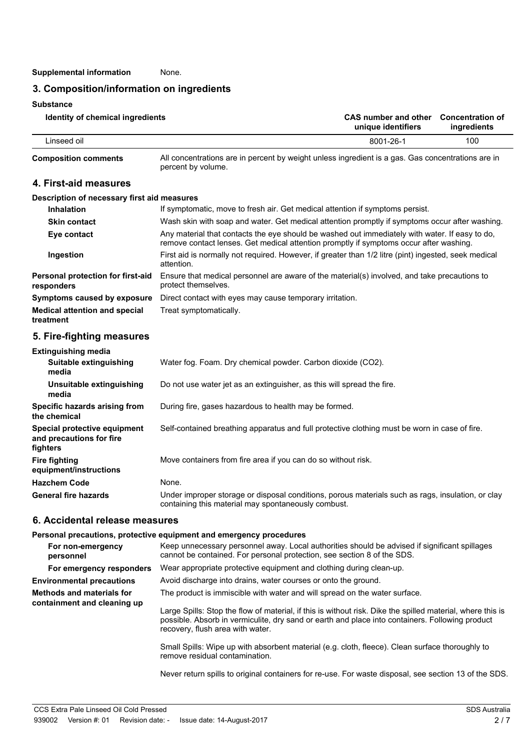#### **3. Composition/information on ingredients**

**Substance**

| Identity of chemical ingredients | CAS number and other Concentration of<br>unique identifiers | ingredients |
|----------------------------------|-------------------------------------------------------------|-------------|
| Linseed oil                      | 8001-26-1                                                   | 100         |

**Composition comments**

All concentrations are in percent by weight unless ingredient is a gas. Gas concentrations are in percent by volume.

#### **4. First-aid measures**

#### **Description of necessary first aid measures**

| <b>Inhalation</b>                                 | If symptomatic, move to fresh air. Get medical attention if symptoms persist.                                                                                                            |  |
|---------------------------------------------------|------------------------------------------------------------------------------------------------------------------------------------------------------------------------------------------|--|
| <b>Skin contact</b>                               | Wash skin with soap and water. Get medical attention promptly if symptoms occur after washing.                                                                                           |  |
| Eye contact                                       | Any material that contacts the eye should be washed out immediately with water. If easy to do,<br>remove contact lenses. Get medical attention promptly if symptoms occur after washing. |  |
| Ingestion                                         | First aid is normally not required. However, if greater than 1/2 litre (pint) ingested, seek medical<br>attention.                                                                       |  |
| Personal protection for first-aid<br>responders   | Ensure that medical personnel are aware of the material(s) involved, and take precautions to<br>protect themselves.                                                                      |  |
| Symptoms caused by exposure                       | Direct contact with eyes may cause temporary irritation.                                                                                                                                 |  |
| <b>Medical attention and special</b><br>treatment | Treat symptomatically.                                                                                                                                                                   |  |

#### **5. Fire-fighting measures**

| <b>Extinguishing media</b>                                           |                                                                                                                                                          |
|----------------------------------------------------------------------|----------------------------------------------------------------------------------------------------------------------------------------------------------|
| Suitable extinguishing<br>media                                      | Water fog. Foam. Dry chemical powder. Carbon dioxide (CO2).                                                                                              |
| Unsuitable extinguishing<br>media                                    | Do not use water jet as an extinguisher, as this will spread the fire.                                                                                   |
| Specific hazards arising from<br>the chemical                        | During fire, gases hazardous to health may be formed.                                                                                                    |
| Special protective equipment<br>and precautions for fire<br>fighters | Self-contained breathing apparatus and full protective clothing must be worn in case of fire.                                                            |
| <b>Fire fighting</b><br>equipment/instructions                       | Move containers from fire area if you can do so without risk.                                                                                            |
| <b>Hazchem Code</b>                                                  | None.                                                                                                                                                    |
| <b>General fire hazards</b>                                          | Under improper storage or disposal conditions, porous materials such as rags, insulation, or clay<br>containing this material may spontaneously combust. |

#### **6. Accidental release measures**

#### **Personal precautions, protective equipment and emergency procedures**

| For non-emergency<br>personnel                                  | Keep unnecessary personnel away. Local authorities should be advised if significant spillages<br>cannot be contained. For personal protection, see section 8 of the SDS.                                                                                                                                                        |
|-----------------------------------------------------------------|---------------------------------------------------------------------------------------------------------------------------------------------------------------------------------------------------------------------------------------------------------------------------------------------------------------------------------|
| For emergency responders                                        | Wear appropriate protective equipment and clothing during clean-up.                                                                                                                                                                                                                                                             |
| <b>Environmental precautions</b>                                | Avoid discharge into drains, water courses or onto the ground.                                                                                                                                                                                                                                                                  |
| <b>Methods and materials for</b><br>containment and cleaning up | The product is immiscible with water and will spread on the water surface.<br>Large Spills: Stop the flow of material, if this is without risk. Dike the spilled material, where this is<br>possible. Absorb in vermiculite, dry sand or earth and place into containers. Following product<br>recovery, flush area with water. |
|                                                                 | Small Spills: Wipe up with absorbent material (e.g. cloth, fleece). Clean surface thoroughly to<br>remove residual contamination.                                                                                                                                                                                               |

Never return spills to original containers for re-use. For waste disposal, see section 13 of the SDS.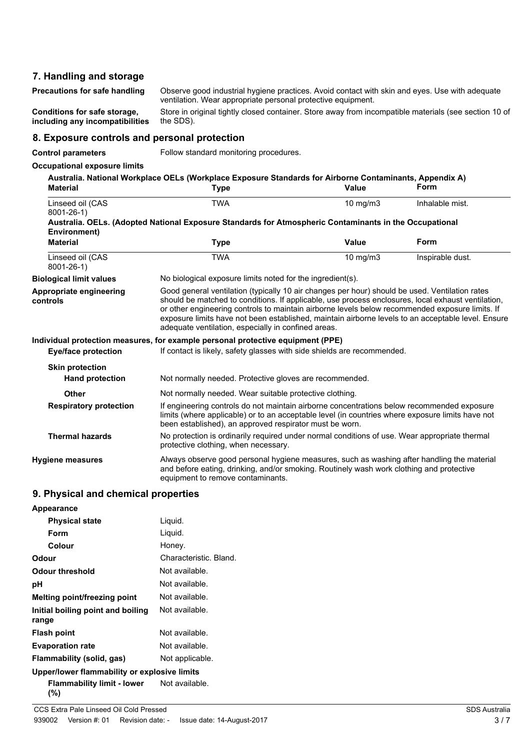#### **7. Handling and storage**

Observe good industrial hygiene practices. Avoid contact with skin and eyes. Use with adequate ventilation. Wear appropriate personal protective equipment. **Precautions for safe handling**

**Conditions for safe storage, including any incompatibilities**

Store in original tightly closed container. Store away from incompatible materials (see section 10 of the SDS).

#### **8. Exposure controls and personal protection**

**Control parameters** Follow standard monitoring procedures.

#### **Occupational exposure limits**

| <b>Material</b>                     | Australia. National Workplace OELs (Workplace Exposure Standards for Airborne Contaminants, Appendix A)<br>Type                                                                                                                                                                                                                                                                                                                                                      | Value         | Form             |
|-------------------------------------|----------------------------------------------------------------------------------------------------------------------------------------------------------------------------------------------------------------------------------------------------------------------------------------------------------------------------------------------------------------------------------------------------------------------------------------------------------------------|---------------|------------------|
| Linseed oil (CAS<br>$8001 - 26 - 1$ | <b>TWA</b>                                                                                                                                                                                                                                                                                                                                                                                                                                                           | $10$ mg/m $3$ | Inhalable mist.  |
| Environment)                        | Australia. OELs. (Adopted National Exposure Standards for Atmospheric Contaminants in the Occupational                                                                                                                                                                                                                                                                                                                                                               |               |                  |
| <b>Material</b>                     | <b>Type</b>                                                                                                                                                                                                                                                                                                                                                                                                                                                          | Value         | Form             |
| Linseed oil (CAS<br>$8001 - 26 - 1$ | <b>TWA</b>                                                                                                                                                                                                                                                                                                                                                                                                                                                           | 10 mg/m3      | Inspirable dust. |
| <b>Biological limit values</b>      | No biological exposure limits noted for the ingredient(s).                                                                                                                                                                                                                                                                                                                                                                                                           |               |                  |
| Appropriate engineering<br>controls | Good general ventilation (typically 10 air changes per hour) should be used. Ventilation rates<br>should be matched to conditions. If applicable, use process enclosures, local exhaust ventilation,<br>or other engineering controls to maintain airborne levels below recommended exposure limits. If<br>exposure limits have not been established, maintain airborne levels to an acceptable level. Ensure<br>adequate ventilation, especially in confined areas. |               |                  |
|                                     | Individual protection measures, for example personal protective equipment (PPE)                                                                                                                                                                                                                                                                                                                                                                                      |               |                  |
| <b>Eye/face protection</b>          | If contact is likely, safety glasses with side shields are recommended.                                                                                                                                                                                                                                                                                                                                                                                              |               |                  |
| <b>Skin protection</b>              |                                                                                                                                                                                                                                                                                                                                                                                                                                                                      |               |                  |
| <b>Hand protection</b>              | Not normally needed. Protective gloves are recommended.                                                                                                                                                                                                                                                                                                                                                                                                              |               |                  |
| <b>Other</b>                        | Not normally needed. Wear suitable protective clothing.                                                                                                                                                                                                                                                                                                                                                                                                              |               |                  |
| <b>Respiratory protection</b>       | If engineering controls do not maintain airborne concentrations below recommended exposure<br>limits (where applicable) or to an acceptable level (in countries where exposure limits have not<br>been established), an approved respirator must be worn.                                                                                                                                                                                                            |               |                  |
| <b>Thermal hazards</b>              | No protection is ordinarily required under normal conditions of use. Wear appropriate thermal<br>protective clothing, when necessary.                                                                                                                                                                                                                                                                                                                                |               |                  |
| Hygiene measures                    | Always observe good personal hygiene measures, such as washing after handling the material<br>and before eating, drinking, and/or smoking. Routinely wash work clothing and protective<br>equipment to remove contaminants.                                                                                                                                                                                                                                          |               |                  |

#### **9. Physical and chemical properties**

| <b>Appearance</b>                            |                        |
|----------------------------------------------|------------------------|
| <b>Physical state</b>                        | Liquid.                |
| Form                                         | Liquid.                |
| Colour                                       | Honey.                 |
| Odour                                        | Characteristic, Bland. |
| <b>Odour threshold</b>                       | Not available.         |
| рH                                           | Not available.         |
| Melting point/freezing point                 | Not available.         |
| Initial boiling point and boiling<br>range   | Not available.         |
| <b>Flash point</b>                           | Not available.         |
| <b>Evaporation rate</b>                      | Not available.         |
| Flammability (solid, gas)                    | Not applicable.        |
| Upper/lower flammability or explosive limits |                        |
| Flammability limit - lower<br>(%)            | Not available.         |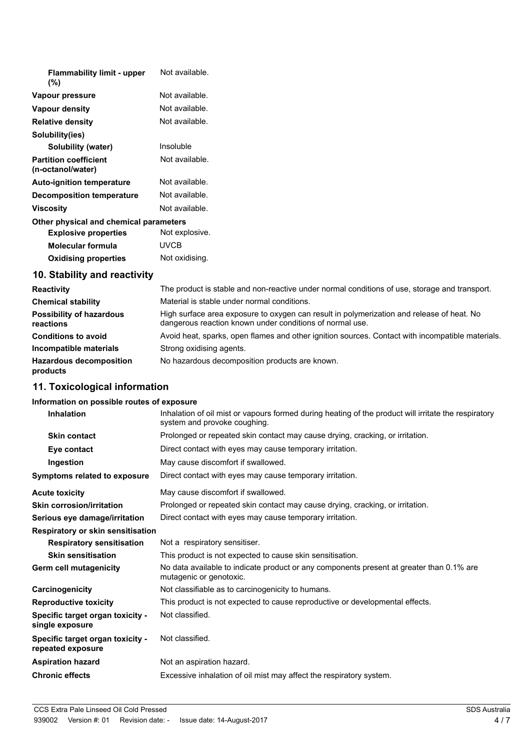| <b>Flammability limit - upper</b><br>$(\%)$       | Not available. |
|---------------------------------------------------|----------------|
| Vapour pressure                                   | Not available. |
| Vapour density                                    | Not available. |
| <b>Relative density</b>                           | Not available. |
| Solubility(ies)                                   |                |
| Solubility (water)                                | Insoluble      |
| <b>Partition coefficient</b><br>(n-octanol/water) | Not available. |
| <b>Auto-ignition temperature</b>                  | Not available. |
| <b>Decomposition temperature</b>                  | Not available. |
| <b>Viscosity</b>                                  | Not available. |
| Other physical and chemical parameters            |                |
| <b>Explosive properties</b>                       | Not explosive. |
| <b>Molecular formula</b>                          | <b>UVCB</b>    |
| <b>Oxidising properties</b>                       | Not oxidising. |
| 10. Stability and reactivity                      |                |

| <b>Reactivity</b>                            | The product is stable and non-reactive under normal conditions of use, storage and transport.                                                         |
|----------------------------------------------|-------------------------------------------------------------------------------------------------------------------------------------------------------|
| <b>Chemical stability</b>                    | Material is stable under normal conditions.                                                                                                           |
| <b>Possibility of hazardous</b><br>reactions | High surface area exposure to oxygen can result in polymerization and release of heat. No<br>dangerous reaction known under conditions of normal use. |
| <b>Conditions to avoid</b>                   | Avoid heat, sparks, open flames and other ignition sources. Contact with incompatible materials.                                                      |
| Incompatible materials                       | Strong oxidising agents.                                                                                                                              |
| <b>Hazardous decomposition</b><br>products   | No hazardous decomposition products are known.                                                                                                        |

## **11. Toxicological information**

### **Information on possible routes of exposure**

| <b>Inhalation</b>                                     | Inhalation of oil mist or vapours formed during heating of the product will irritate the respiratory<br>system and provoke coughing. |  |  |
|-------------------------------------------------------|--------------------------------------------------------------------------------------------------------------------------------------|--|--|
| <b>Skin contact</b>                                   | Prolonged or repeated skin contact may cause drying, cracking, or irritation.                                                        |  |  |
| Eye contact                                           | Direct contact with eyes may cause temporary irritation.                                                                             |  |  |
| Ingestion                                             | May cause discomfort if swallowed.                                                                                                   |  |  |
| Symptoms related to exposure                          | Direct contact with eyes may cause temporary irritation.                                                                             |  |  |
| <b>Acute toxicity</b>                                 | May cause discomfort if swallowed.                                                                                                   |  |  |
| <b>Skin corrosion/irritation</b>                      | Prolonged or repeated skin contact may cause drying, cracking, or irritation.                                                        |  |  |
| Serious eye damage/irritation                         | Direct contact with eyes may cause temporary irritation.                                                                             |  |  |
| <b>Respiratory or skin sensitisation</b>              |                                                                                                                                      |  |  |
| <b>Respiratory sensitisation</b>                      | Not a respiratory sensitiser.                                                                                                        |  |  |
| <b>Skin sensitisation</b>                             | This product is not expected to cause skin sensitisation.                                                                            |  |  |
| <b>Germ cell mutagenicity</b>                         | No data available to indicate product or any components present at greater than 0.1% are<br>mutagenic or genotoxic.                  |  |  |
| Carcinogenicity                                       | Not classifiable as to carcinogenicity to humans.                                                                                    |  |  |
| <b>Reproductive toxicity</b>                          | This product is not expected to cause reproductive or developmental effects.                                                         |  |  |
| Specific target organ toxicity -<br>single exposure   | Not classified.                                                                                                                      |  |  |
| Specific target organ toxicity -<br>repeated exposure | Not classified.                                                                                                                      |  |  |
| <b>Aspiration hazard</b>                              | Not an aspiration hazard.                                                                                                            |  |  |
| <b>Chronic effects</b>                                | Excessive inhalation of oil mist may affect the respiratory system.                                                                  |  |  |
|                                                       |                                                                                                                                      |  |  |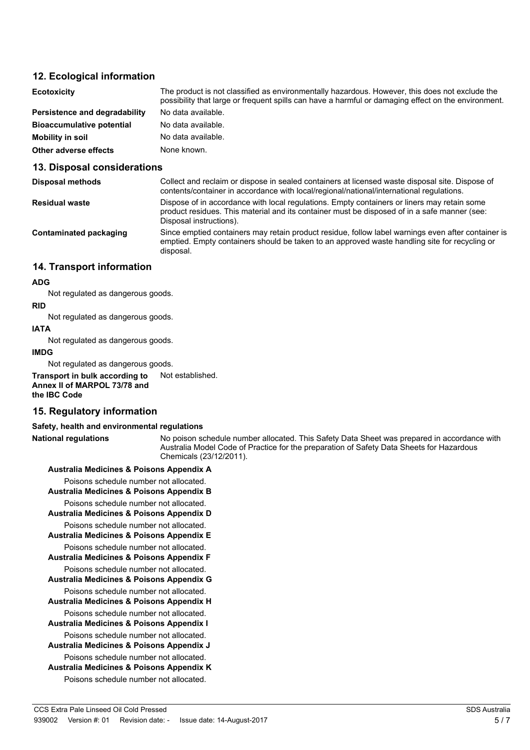#### **12. Ecological information**

| <b>Ecotoxicity</b>               | The product is not classified as environmentally hazardous. However, this does not exclude the<br>possibility that large or frequent spills can have a harmful or damaging effect on the environment. |
|----------------------------------|-------------------------------------------------------------------------------------------------------------------------------------------------------------------------------------------------------|
| Persistence and degradability    | No data available.                                                                                                                                                                                    |
| <b>Bioaccumulative potential</b> | No data available.                                                                                                                                                                                    |
| <b>Mobility in soil</b>          | No data available.                                                                                                                                                                                    |
| Other adverse effects            | None known.                                                                                                                                                                                           |

#### **13. Disposal considerations**

| <b>Disposal methods</b> | Collect and reclaim or dispose in sealed containers at licensed waste disposal site. Dispose of<br>contents/container in accordance with local/regional/national/international regulations.                            |
|-------------------------|------------------------------------------------------------------------------------------------------------------------------------------------------------------------------------------------------------------------|
| <b>Residual waste</b>   | Dispose of in accordance with local regulations. Empty containers or liners may retain some<br>product residues. This material and its container must be disposed of in a safe manner (see:<br>Disposal instructions). |
| Contaminated packaging  | Since emptied containers may retain product residue, follow label warnings even after container is<br>emptied. Empty containers should be taken to an approved waste handling site for recycling or<br>disposal.       |

#### **14. Transport information**

#### **ADG**

Not regulated as dangerous goods.

**RID** Not regulated as dangerous goods.

#### **IATA**

Not regulated as dangerous goods.

#### **IMDG**

Not regulated as dangerous goods.

**Transport in bulk according to** Not established. **Annex II of MARPOL 73/78 and the IBC Code**

#### **15. Regulatory information**

#### **Safety, health and environmental regulations**

**National regulations**

No poison schedule number allocated. This Safety Data Sheet was prepared in accordance with Australia Model Code of Practice for the preparation of Safety Data Sheets for Hazardous Chemicals (23/12/2011).

#### **Australia Medicines & Poisons Appendix A**

Poisons schedule number not allocated.

**Australia Medicines & Poisons Appendix B**

Poisons schedule number not allocated. **Australia Medicines & Poisons Appendix D**

Poisons schedule number not allocated. **Australia Medicines & Poisons Appendix E** Poisons schedule number not allocated.

**Australia Medicines & Poisons Appendix F**

Poisons schedule number not allocated.

- **Australia Medicines & Poisons Appendix G**
- Poisons schedule number not allocated. **Australia Medicines & Poisons Appendix H**

Poisons schedule number not allocated.

**Australia Medicines & Poisons Appendix I**

Poisons schedule number not allocated. **Australia Medicines & Poisons Appendix J**

Poisons schedule number not allocated.

**Australia Medicines & Poisons Appendix K** Poisons schedule number not allocated.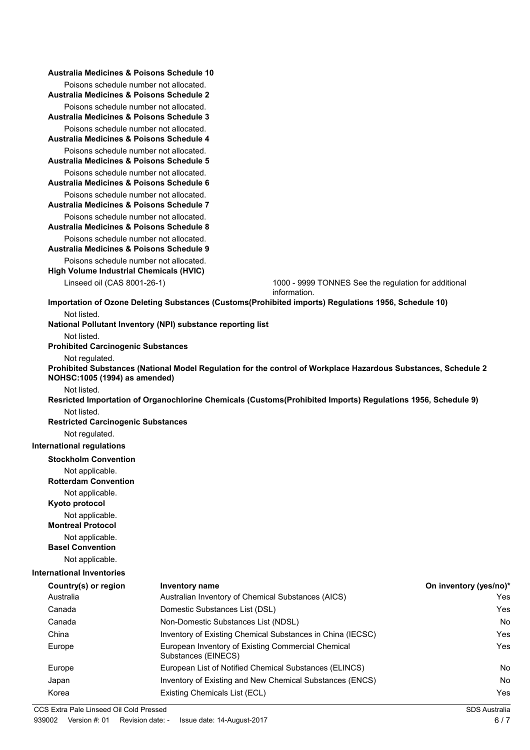|                                                                                                                                                                    | Australia Medicines & Poisons Schedule 10                                          |                                                                                                              |                                                      |  |
|--------------------------------------------------------------------------------------------------------------------------------------------------------------------|------------------------------------------------------------------------------------|--------------------------------------------------------------------------------------------------------------|------------------------------------------------------|--|
|                                                                                                                                                                    | Poisons schedule number not allocated.                                             |                                                                                                              |                                                      |  |
|                                                                                                                                                                    | Australia Medicines & Poisons Schedule 2                                           |                                                                                                              |                                                      |  |
|                                                                                                                                                                    | Poisons schedule number not allocated.<br>Australia Medicines & Poisons Schedule 3 |                                                                                                              |                                                      |  |
|                                                                                                                                                                    | Poisons schedule number not allocated.<br>Australia Medicines & Poisons Schedule 4 |                                                                                                              |                                                      |  |
|                                                                                                                                                                    | Poisons schedule number not allocated.<br>Australia Medicines & Poisons Schedule 5 |                                                                                                              |                                                      |  |
|                                                                                                                                                                    | Poisons schedule number not allocated.<br>Australia Medicines & Poisons Schedule 6 |                                                                                                              |                                                      |  |
|                                                                                                                                                                    | Poisons schedule number not allocated.<br>Australia Medicines & Poisons Schedule 7 |                                                                                                              |                                                      |  |
|                                                                                                                                                                    | Poisons schedule number not allocated.                                             |                                                                                                              |                                                      |  |
|                                                                                                                                                                    | Australia Medicines & Poisons Schedule 8                                           |                                                                                                              |                                                      |  |
|                                                                                                                                                                    | Poisons schedule number not allocated.<br>Australia Medicines & Poisons Schedule 9 |                                                                                                              |                                                      |  |
|                                                                                                                                                                    | Poisons schedule number not allocated.<br>High Volume Industrial Chemicals (HVIC)  |                                                                                                              |                                                      |  |
|                                                                                                                                                                    | Linseed oil (CAS 8001-26-1)                                                        | information.                                                                                                 | 1000 - 9999 TONNES See the regulation for additional |  |
|                                                                                                                                                                    |                                                                                    | Importation of Ozone Deleting Substances (Customs(Prohibited imports) Regulations 1956, Schedule 10)         |                                                      |  |
|                                                                                                                                                                    | Not listed.                                                                        | National Pollutant Inventory (NPI) substance reporting list                                                  |                                                      |  |
|                                                                                                                                                                    | Not listed.                                                                        |                                                                                                              |                                                      |  |
|                                                                                                                                                                    | <b>Prohibited Carcinogenic Substances</b>                                          |                                                                                                              |                                                      |  |
| Not regulated.<br>Prohibited Substances (National Model Regulation for the control of Workplace Hazardous Substances, Schedule 2<br>NOHSC: 1005 (1994) as amended) |                                                                                    |                                                                                                              |                                                      |  |
|                                                                                                                                                                    | Not listed.                                                                        |                                                                                                              |                                                      |  |
|                                                                                                                                                                    |                                                                                    | Resricted Importation of Organochlorine Chemicals (Customs(Prohibited Imports) Regulations 1956, Schedule 9) |                                                      |  |
|                                                                                                                                                                    | Not listed.                                                                        |                                                                                                              |                                                      |  |
|                                                                                                                                                                    | <b>Restricted Carcinogenic Substances</b>                                          |                                                                                                              |                                                      |  |
|                                                                                                                                                                    | Not regulated.                                                                     |                                                                                                              |                                                      |  |
|                                                                                                                                                                    | <b>International regulations</b>                                                   |                                                                                                              |                                                      |  |
|                                                                                                                                                                    | <b>Stockholm Convention</b>                                                        |                                                                                                              |                                                      |  |
|                                                                                                                                                                    | Not applicable.<br><b>Rotterdam Convention</b>                                     |                                                                                                              |                                                      |  |
|                                                                                                                                                                    | Not applicable.<br>Kyoto protocol                                                  |                                                                                                              |                                                      |  |
|                                                                                                                                                                    | Not applicable.<br><b>Montreal Protocol</b>                                        |                                                                                                              |                                                      |  |
|                                                                                                                                                                    | Not applicable.<br><b>Basel Convention</b>                                         |                                                                                                              |                                                      |  |
|                                                                                                                                                                    | Not applicable.                                                                    |                                                                                                              |                                                      |  |
|                                                                                                                                                                    | <b>International Inventories</b>                                                   |                                                                                                              |                                                      |  |
|                                                                                                                                                                    | Country(s) or region                                                               | <b>Inventory name</b>                                                                                        | On inventory (yes/no)*                               |  |
|                                                                                                                                                                    | Australia                                                                          | Australian Inventory of Chemical Substances (AICS)                                                           | Yes                                                  |  |
|                                                                                                                                                                    | Canada                                                                             | Domestic Substances List (DSL)                                                                               | Yes                                                  |  |
|                                                                                                                                                                    | Canada                                                                             | Non-Domestic Substances List (NDSL)                                                                          | No                                                   |  |
|                                                                                                                                                                    | China                                                                              | Inventory of Existing Chemical Substances in China (IECSC)                                                   | Yes                                                  |  |
|                                                                                                                                                                    | Europe                                                                             | European Inventory of Existing Commercial Chemical<br>Substances (EINECS)                                    | Yes                                                  |  |
|                                                                                                                                                                    | Europe                                                                             | European List of Notified Chemical Substances (ELINCS)                                                       | No                                                   |  |
|                                                                                                                                                                    | Japan                                                                              | Inventory of Existing and New Chemical Substances (ENCS)                                                     | No                                                   |  |
|                                                                                                                                                                    | Korea                                                                              | Existing Chemicals List (ECL)                                                                                | Yes                                                  |  |